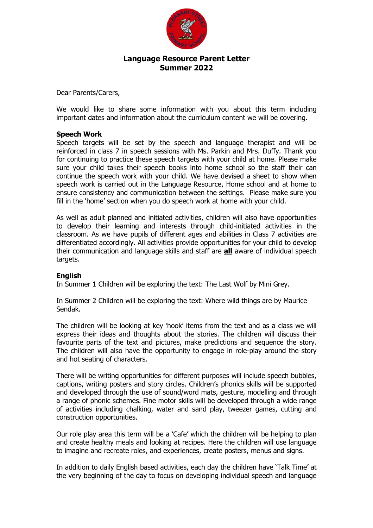

## **Language Resource Parent Letter Summer 2022**

Dear Parents/Carers,

We would like to share some information with you about this term including important dates and information about the curriculum content we will be covering.

### **Speech Work**

Speech targets will be set by the speech and language therapist and will be reinforced in class 7 in speech sessions with Ms. Parkin and Mrs. Duffy. Thank you for continuing to practice these speech targets with your child at home. Please make sure your child takes their speech books into home school so the staff their can continue the speech work with your child. We have devised a sheet to show when speech work is carried out in the Language Resource, Home school and at home to ensure consistency and communication between the settings. Please make sure you fill in the 'home' section when you do speech work at home with your child.

As well as adult planned and initiated activities, children will also have opportunities to develop their learning and interests through child-initiated activities in the classroom. As we have pupils of different ages and abilities in Class 7 activities are differentiated accordingly. All activities provide opportunities for your child to develop their communication and language skills and staff are **all** aware of individual speech targets.

### **English**

In Summer 1 Children will be exploring the text: The Last Wolf by Mini Grey.

In Summer 2 Children will be exploring the text: Where wild things are by Maurice Sendak.

The children will be looking at key 'hook' items from the text and as a class we will express their ideas and thoughts about the stories. The children will discuss their favourite parts of the text and pictures, make predictions and sequence the story. The children will also have the opportunity to engage in role-play around the story and hot seating of characters.

There will be writing opportunities for different purposes will include speech bubbles, captions, writing posters and story circles. Children's phonics skills will be supported and developed through the use of sound/word mats, gesture, modelling and through a range of phonic schemes. Fine motor skills will be developed through a wide range of activities including chalking, water and sand play, tweezer games, cutting and construction opportunities.

Our role play area this term will be a 'Cafe' which the children will be helping to plan and create healthy meals and looking at recipes. Here the children will use language to imagine and recreate roles, and experiences, create posters, menus and signs.

In addition to daily English based activities, each day the children have 'Talk Time' at the very beginning of the day to focus on developing individual speech and language